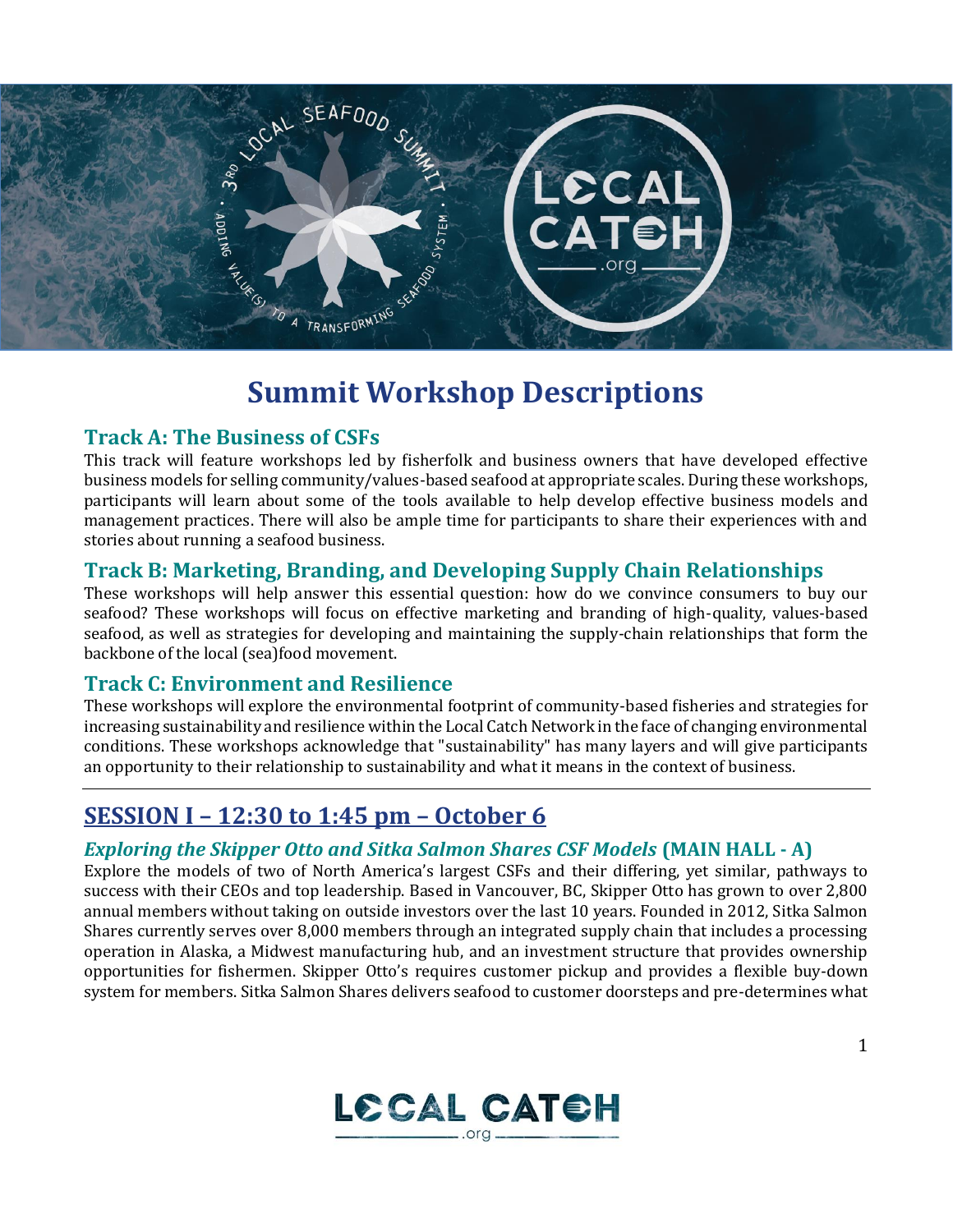

# **Summit Workshop Descriptions**

### **Track A: The Business of CSFs**

This track will feature workshops led by fisherfolk and business owners that have developed effective business models for selling community/values-based seafood at appropriate scales. During these workshops, participants will learn about some of the tools available to help develop effective business models and management practices. There will also be ample time for participants to share their experiences with and stories about running a seafood business.

### **Track B: Marketing, Branding, and Developing Supply Chain Relationships**

These workshops will help answer this essential question: how do we convince consumers to buy our seafood? These workshops will focus on effective marketing and branding of high-quality, values-based seafood, as well as strategies for developing and maintaining the supply-chain relationships that form the backbone of the local (sea)food movement.

### **Track C: Environment and Resilience**

These workshops will explore the environmental footprint of community-based fisheries and strategies for increasing sustainability and resilience within the Local Catch Network in the face of changing environmental conditions. These workshops acknowledge that "sustainability" has many layers and will give participants an opportunity to their relationship to sustainability and what it means in the context of business.

## **SESSION I – 12:30 to 1:45 pm – October 6**

### *Exploring the Skipper Otto and Sitka Salmon Shares CSF Models* **(MAIN HALL - A)**

Explore the models of two of North America's largest CSFs and their differing, yet similar, pathways to success with their CEOs and top leadership. Based in Vancouver, BC, Skipper Otto has grown to over 2,800 annual members without taking on outside investors over the last 10 years. Founded in 2012, Sitka Salmon Shares currently serves over 8,000 members through an integrated supply chain that includes a processing operation in Alaska, a Midwest manufacturing hub, and an investment structure that provides ownership opportunities for fishermen. Skipper Otto's requires customer pickup and provides a flexible buy-down system for members. Sitka Salmon Shares delivers seafood to customer doorsteps and pre-determines what

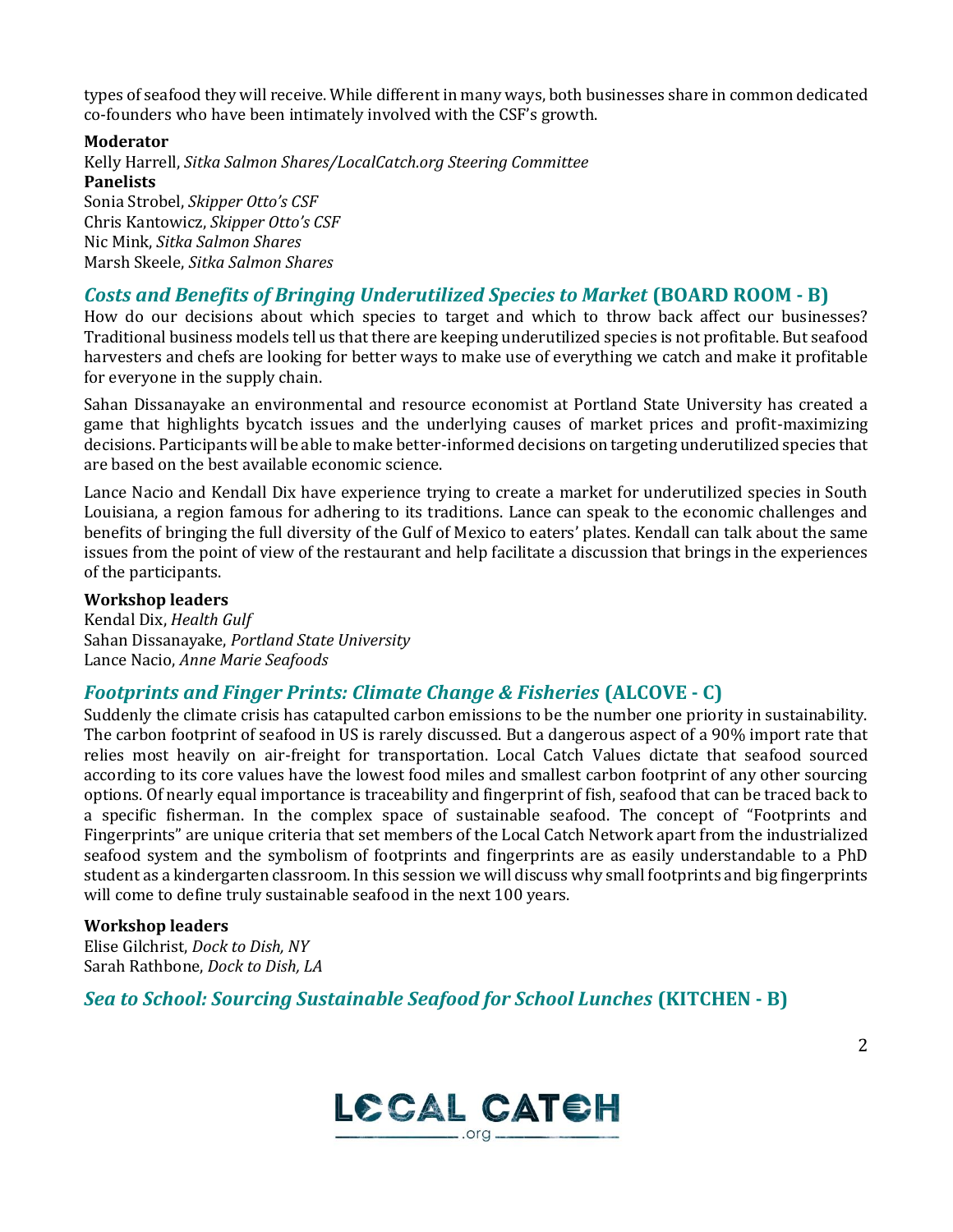types of seafood they will receive. While different in many ways, both businesses share in common dedicated co-founders who have been intimately involved with the CSF's growth.

#### **Moderator**

Kelly Harrell, *Sitka Salmon Shares/LocalCatch.org Steering Committee* **Panelists** 

Sonia Strobel, *Skipper Otto's CSF*  Chris Kantowicz, *Skipper Otto's CSF*  Nic Mink, *Sitka Salmon Shares*  Marsh Skeele, *Sitka Salmon Shares* 

### *Costs and Benefits of Bringing Underutilized Species to Market* **(BOARD ROOM - B)**

How do our decisions about which species to target and which to throw back affect our businesses? Traditional business models tell us that there are keeping underutilized species is not profitable. But seafood harvesters and chefs are looking for better ways to make use of everything we catch and make it profitable for everyone in the supply chain.

Sahan Dissanayake an environmental and resource economist at Portland State University has created a game that highlights bycatch issues and the underlying causes of market prices and profit-maximizing decisions. Participants will be able to make better-informed decisions on targeting underutilized species that are based on the best available economic science.

Lance Nacio and Kendall Dix have experience trying to create a market for underutilized species in South Louisiana, a region famous for adhering to its traditions. Lance can speak to the economic challenges and benefits of bringing the full diversity of the Gulf of Mexico to eaters' plates. Kendall can talk about the same issues from the point of view of the restaurant and help facilitate a discussion that brings in the experiences of the participants.

#### **Workshop leaders**

Kendal Dix, *Health Gulf*  Sahan Dissanayake, *Portland State University*  Lance Nacio, *Anne Marie Seafoods*

### *Footprints and Finger Prints: Climate Change & Fisheries* **(ALCOVE - C)**

Suddenly the climate crisis has catapulted carbon emissions to be the number one priority in sustainability. The carbon footprint of seafood in US is rarely discussed. But a dangerous aspect of a 90% import rate that relies most heavily on air-freight for transportation. Local Catch Values dictate that seafood sourced according to its core values have the lowest food miles and smallest carbon footprint of any other sourcing options. Of nearly equal importance is traceability and fingerprint of fish, seafood that can be traced back to a specific fisherman. In the complex space of sustainable seafood. The concept of "Footprints and Fingerprints" are unique criteria that set members of the Local Catch Network apart from the industrialized seafood system and the symbolism of footprints and fingerprints are as easily understandable to a PhD student as a kindergarten classroom. In this session we will discuss why small footprints and big fingerprints will come to define truly sustainable seafood in the next 100 years.

#### **Workshop leaders**

Elise Gilchrist, *Dock to Dish, NY*  Sarah Rathbone, *Dock to Dish, LA* 

*Sea to School: Sourcing Sustainable Seafood for School Lunches* **(KITCHEN - B)**

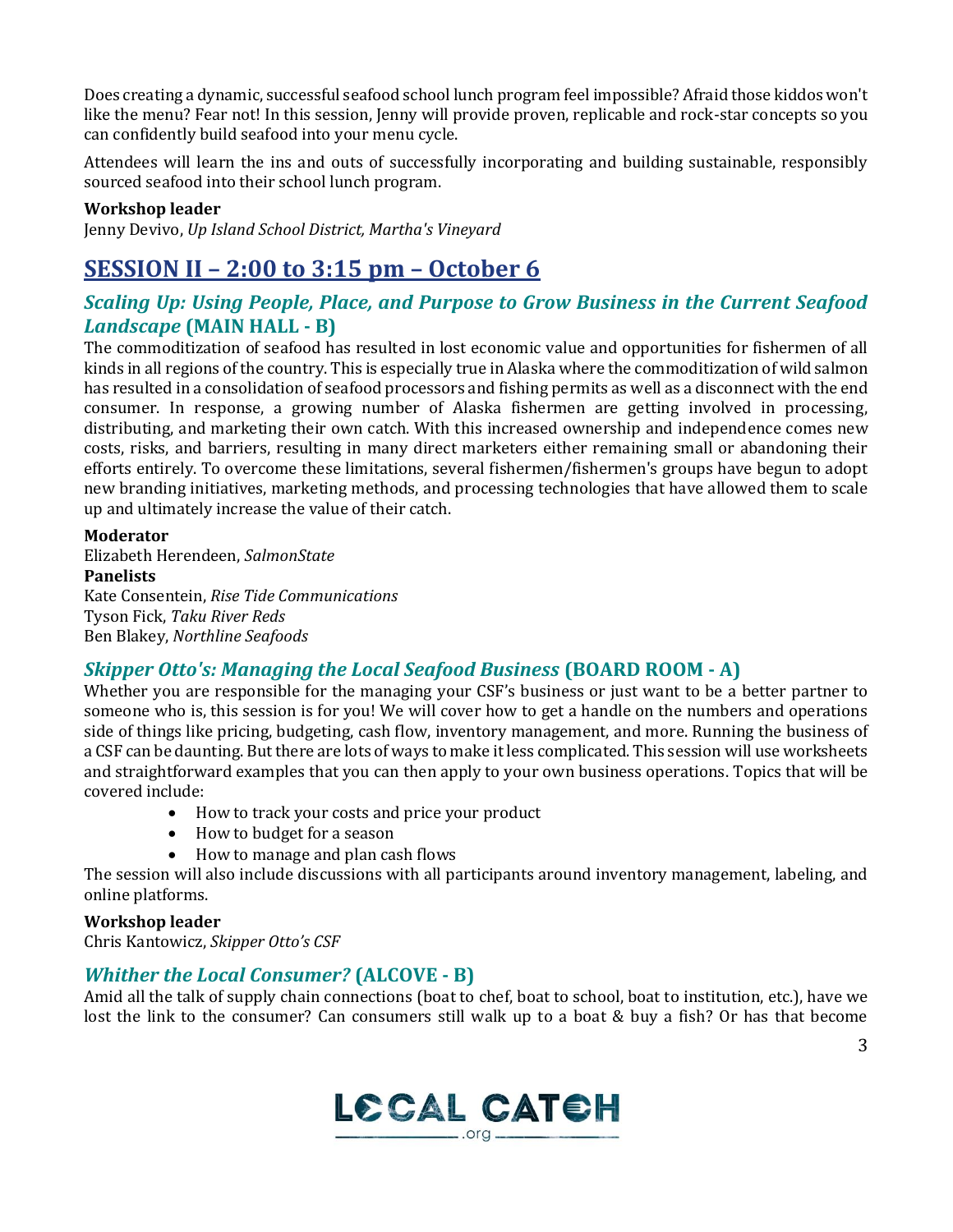Does creating a dynamic, successful seafood school lunch program feel impossible? Afraid those kiddos won't like the menu? Fear not! In this session, Jenny will provide proven, replicable and rock-star concepts so you can confidently build seafood into your menu cycle.

Attendees will learn the ins and outs of successfully incorporating and building sustainable, responsibly sourced seafood into their school lunch program.

#### **Workshop leader**

Jenny Devivo, *Up Island School District, Martha's Vineyard* 

## **SESSION II – 2:00 to 3:15 pm – October 6**

### *Scaling Up: Using People, Place, and Purpose to Grow Business in the Current Seafood Landscape* **(MAIN HALL - B)**

The commoditization of seafood has resulted in lost economic value and opportunities for fishermen of all kinds in all regions of the country. This is especially true in Alaska where the commoditization of wild salmon has resulted in a consolidation of seafood processors and fishing permits as well as a disconnect with the end consumer. In response, a growing number of Alaska fishermen are getting involved in processing, distributing, and marketing their own catch. With this increased ownership and independence comes new costs, risks, and barriers, resulting in many direct marketers either remaining small or abandoning their efforts entirely. To overcome these limitations, several fishermen/fishermen's groups have begun to adopt new branding initiatives, marketing methods, and processing technologies that have allowed them to scale up and ultimately increase the value of their catch.

#### **Moderator**

Elizabeth Herendeen, *SalmonState*  **Panelists** Kate Consentein, *Rise Tide Communications* Tyson Fick, *Taku River Reds* Ben Blakey, *Northline Seafoods*

### *Skipper Otto's: Managing the Local Seafood Business* **(BOARD ROOM - A)**

Whether you are responsible for the managing your CSF's business or just want to be a better partner to someone who is, this session is for you! We will cover how to get a handle on the numbers and operations side of things like pricing, budgeting, cash flow, inventory management, and more. Running the business of a CSF can be daunting. But there are lots of ways to make it less complicated. This session will use worksheets and straightforward examples that you can then apply to your own business operations. Topics that will be covered include:

- How to track your costs and price your product
- How to budget for a season
- How to manage and plan cash flows

The session will also include discussions with all participants around inventory management, labeling, and online platforms.

### **Workshop leader**

Chris Kantowicz, *Skipper Otto's CSF* 

### *Whither the Local Consumer?* **(ALCOVE - B)**

Amid all the talk of supply chain connections (boat to chef, boat to school, boat to institution, etc.), have we lost the link to the consumer? Can consumers still walk up to a boat & buy a fish? Or has that become

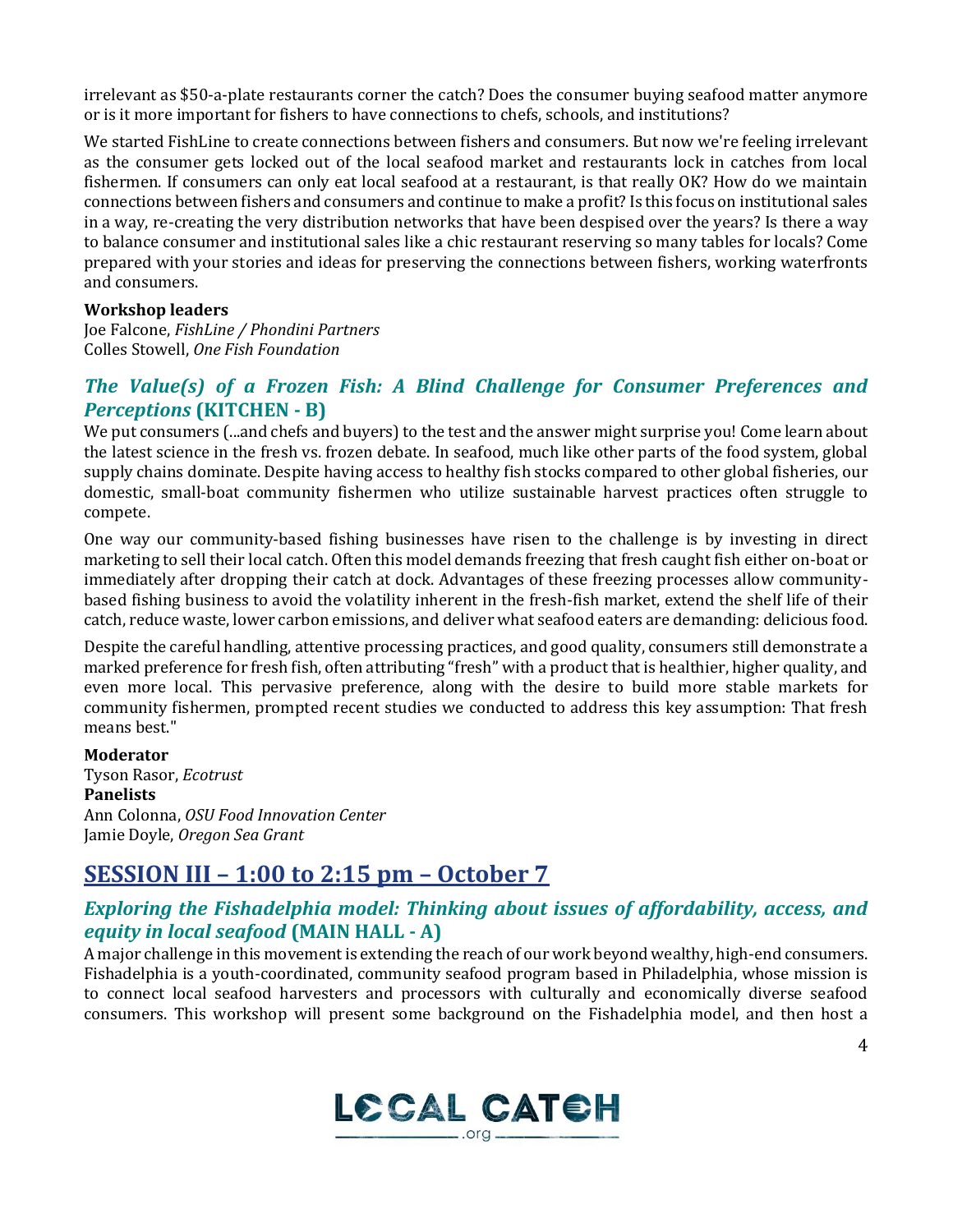irrelevant as \$50-a-plate restaurants corner the catch? Does the consumer buying seafood matter anymore or is it more important for fishers to have connections to chefs, schools, and institutions?

We started FishLine to create connections between fishers and consumers. But now we're feeling irrelevant as the consumer gets locked out of the local seafood market and restaurants lock in catches from local fishermen. If consumers can only eat local seafood at a restaurant, is that really OK? How do we maintain connections between fishers and consumers and continue to make a profit? Is this focus on institutional sales in a way, re-creating the very distribution networks that have been despised over the years? Is there a way to balance consumer and institutional sales like a chic restaurant reserving so many tables for locals? Come prepared with your stories and ideas for preserving the connections between fishers, working waterfronts and consumers.

#### **Workshop leaders**

Joe Falcone, *FishLine / Phondini Partners*  Colles Stowell, *One Fish Foundation* 

### *The Value(s) of a Frozen Fish: A Blind Challenge for Consumer Preferences and Perceptions* **(KITCHEN - B)**

We put consumers (...and chefs and buyers) to the test and the answer might surprise you! Come learn about the latest science in the fresh vs. frozen debate. In seafood, much like other parts of the food system, global supply chains dominate. Despite having access to healthy fish stocks compared to other global fisheries, our domestic, small-boat community fishermen who utilize sustainable harvest practices often struggle to compete.

One way our community-based fishing businesses have risen to the challenge is by investing in direct marketing to sell their local catch. Often this model demands freezing that fresh caught fish either on-boat or immediately after dropping their catch at dock. Advantages of these freezing processes allow communitybased fishing business to avoid the volatility inherent in the fresh-fish market, extend the shelf life of their catch, reduce waste, lower carbon emissions, and deliver what seafood eaters are demanding: delicious food.

Despite the careful handling, attentive processing practices, and good quality, consumers still demonstrate a marked preference for fresh fish, often attributing "fresh" with a product that is healthier, higher quality, and even more local. This pervasive preference, along with the desire to build more stable markets for community fishermen, prompted recent studies we conducted to address this key assumption: That fresh means best."

#### **Moderator**

Tyson Rasor, *Ecotrust*  **Panelists**  Ann Colonna, *OSU Food Innovation Center*  Jamie Doyle, *Oregon Sea Grant* 

## **SESSION III – 1:00 to 2:15 pm – October 7**

### *Exploring the Fishadelphia model: Thinking about issues of affordability, access, and equity in local seafood* **(MAIN HALL - A)**

A major challenge in this movement is extending the reach of our work beyond wealthy, high-end consumers. Fishadelphia is a youth-coordinated, community seafood program based in Philadelphia, whose mission is to connect local seafood harvesters and processors with culturally and economically diverse seafood consumers. This workshop will present some background on the Fishadelphia model, and then host a

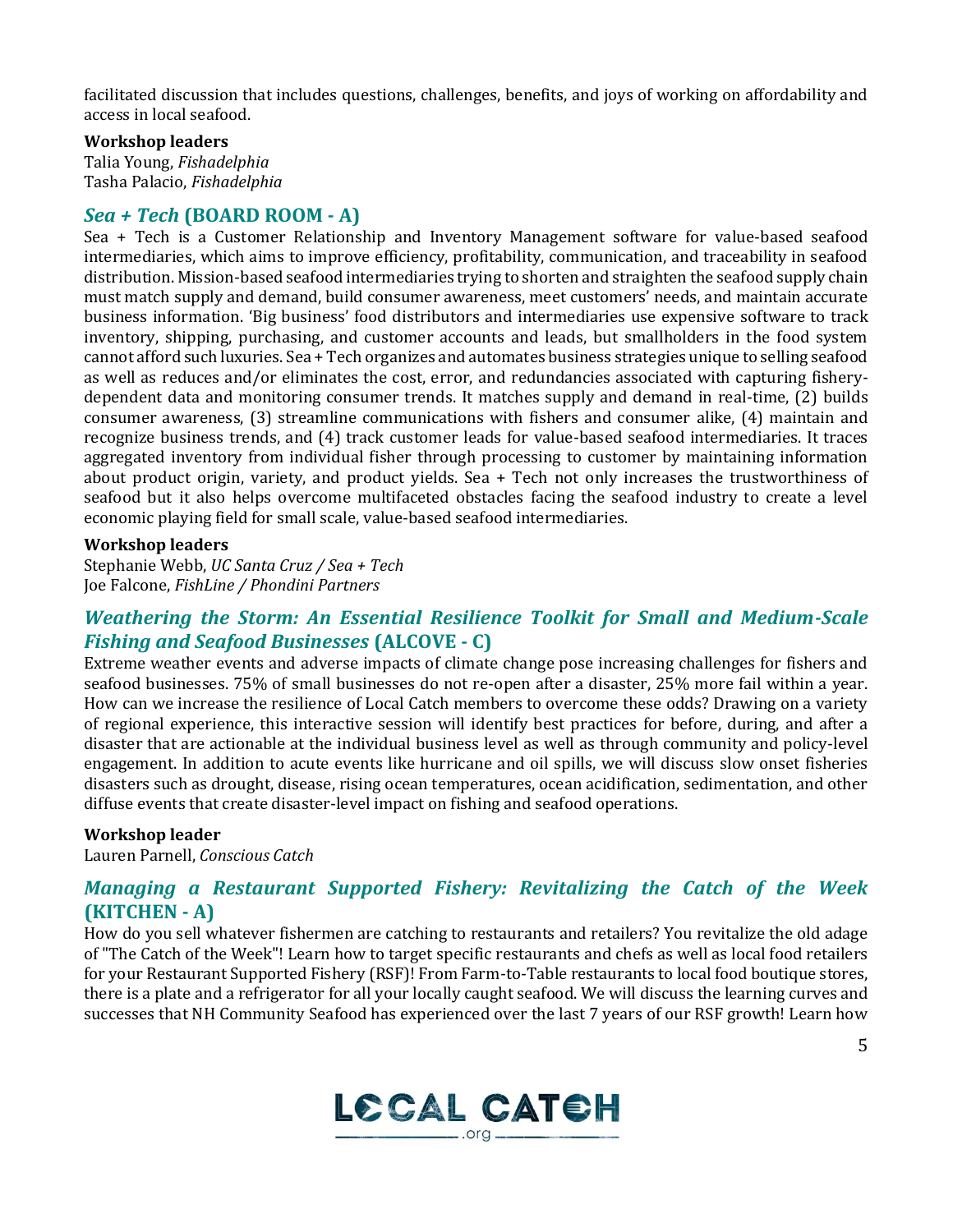facilitated discussion that includes questions, challenges, benefits, and joys of working on affordability and access in local seafood.

#### **Workshop leaders**

Talia Young, *Fishadelphia* Tasha Palacio, *Fishadelphia*

#### *Sea + Tech* **(BOARD ROOM - A)**

Sea + Tech is a Customer Relationship and Inventory Management software for value-based seafood intermediaries, which aims to improve efficiency, profitability, communication, and traceability in seafood distribution. Mission-based seafood intermediaries trying to shorten and straighten the seafood supply chain must match supply and demand, build consumer awareness, meet customers' needs, and maintain accurate business information. 'Big business' food distributors and intermediaries use expensive software to track inventory, shipping, purchasing, and customer accounts and leads, but smallholders in the food system cannot afford such luxuries. Sea + Tech organizes and automates business strategies unique to selling seafood as well as reduces and/or eliminates the cost, error, and redundancies associated with capturing fisherydependent data and monitoring consumer trends. It matches supply and demand in real-time, (2) builds consumer awareness, (3) streamline communications with fishers and consumer alike, (4) maintain and recognize business trends, and (4) track customer leads for value-based seafood intermediaries. It traces aggregated inventory from individual fisher through processing to customer by maintaining information about product origin, variety, and product yields. Sea + Tech not only increases the trustworthiness of seafood but it also helps overcome multifaceted obstacles facing the seafood industry to create a level economic playing field for small scale, value-based seafood intermediaries.

#### **Workshop leaders**

Stephanie Webb, *UC Santa Cruz / Sea + Tech*  Joe Falcone, *FishLine / Phondini Partners* 

### *Weathering the Storm: An Essential Resilience Toolkit for Small and Medium-Scale Fishing and Seafood Businesses* **(ALCOVE - C)**

Extreme weather events and adverse impacts of climate change pose increasing challenges for fishers and seafood businesses. 75% of small businesses do not re-open after a disaster, 25% more fail within a year. How can we increase the resilience of Local Catch members to overcome these odds? Drawing on a variety of regional experience, this interactive session will identify best practices for before, during, and after a disaster that are actionable at the individual business level as well as through community and policy-level engagement. In addition to acute events like hurricane and oil spills, we will discuss slow onset fisheries disasters such as drought, disease, rising ocean temperatures, ocean acidification, sedimentation, and other diffuse events that create disaster-level impact on fishing and seafood operations.

#### **Workshop leader**

Lauren Parnell, *Conscious Catch* 

### *Managing a Restaurant Supported Fishery: Revitalizing the Catch of the Week*  **(KITCHEN - A)**

How do you sell whatever fishermen are catching to restaurants and retailers? You revitalize the old adage of "The Catch of the Week"! Learn how to target specific restaurants and chefs as well as local food retailers for your Restaurant Supported Fishery (RSF)! From Farm-to-Table restaurants to local food boutique stores, there is a plate and a refrigerator for all your locally caught seafood. We will discuss the learning curves and successes that NH Community Seafood has experienced over the last 7 years of our RSF growth! Learn how

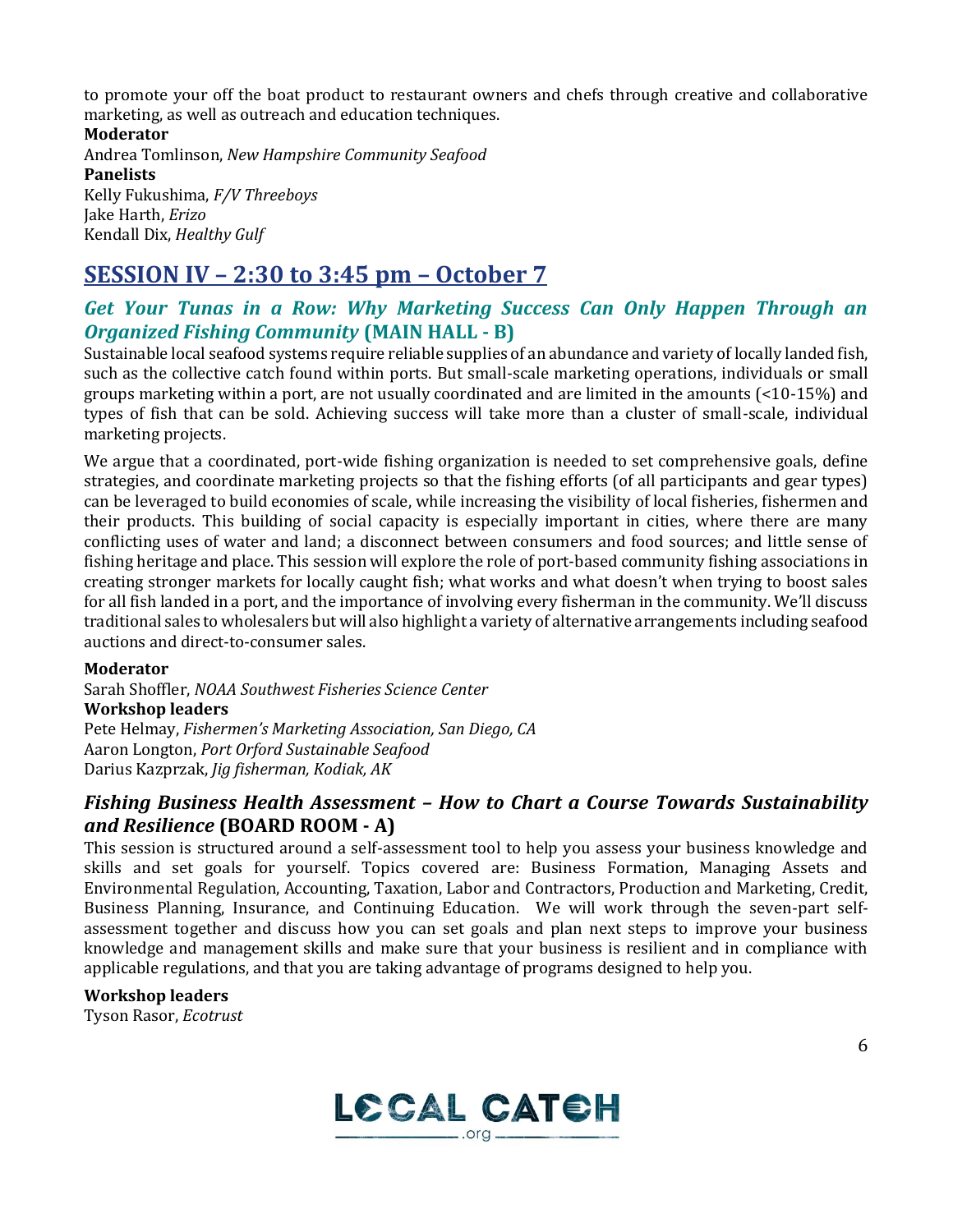to promote your off the boat product to restaurant owners and chefs through creative and collaborative marketing, as well as outreach and education techniques.

#### **Moderator**

Andrea Tomlinson, *New Hampshire Community Seafood*  **Panelists** Kelly Fukushima, *F/V Threeboys* Jake Harth, *Erizo* Kendall Dix, *Healthy Gulf*

## **SESSION IV – 2:30 to 3:45 pm – October 7**

### *Get Your Tunas in a Row: Why Marketing Success Can Only Happen Through an Organized Fishing Community* **(MAIN HALL - B)**

Sustainable local seafood systems require reliable supplies of an abundance and variety of locally landed fish, such as the collective catch found within ports. But small-scale marketing operations, individuals or small groups marketing within a port, are not usually coordinated and are limited in the amounts (<10-15%) and types of fish that can be sold. Achieving success will take more than a cluster of small-scale, individual marketing projects.

We argue that a coordinated, port-wide fishing organization is needed to set comprehensive goals, define strategies, and coordinate marketing projects so that the fishing efforts (of all participants and gear types) can be leveraged to build economies of scale, while increasing the visibility of local fisheries, fishermen and their products. This building of social capacity is especially important in cities, where there are many conflicting uses of water and land; a disconnect between consumers and food sources; and little sense of fishing heritage and place. This session will explore the role of port-based community fishing associations in creating stronger markets for locally caught fish; what works and what doesn't when trying to boost sales for all fish landed in a port, and the importance of involving every fisherman in the community. We'll discuss traditional sales to wholesalers but will also highlight a variety of alternative arrangements including seafood auctions and direct-to-consumer sales.

#### **Moderator**

Sarah Shoffler, *NOAA Southwest Fisheries Science Center*  **Workshop leaders** Pete Helmay, *Fishermen's Marketing Association, San Diego, CA*  Aaron Longton, *Port Orford Sustainable Seafood* Darius Kazprzak, *Jig fisherman, Kodiak, AK*

### *Fishing Business Health Assessment – How to Chart a Course Towards Sustainability and Resilience* **(BOARD ROOM - A)**

This session is structured around a self-assessment tool to help you assess your business knowledge and skills and set goals for yourself. Topics covered are: Business Formation, Managing Assets and Environmental Regulation, Accounting, Taxation, Labor and Contractors, Production and Marketing, Credit, Business Planning, Insurance, and Continuing Education. We will work through the seven-part selfassessment together and discuss how you can set goals and plan next steps to improve your business knowledge and management skills and make sure that your business is resilient and in compliance with applicable regulations, and that you are taking advantage of programs designed to help you.

#### **Workshop leaders**

Tyson Rasor, *Ecotrust*

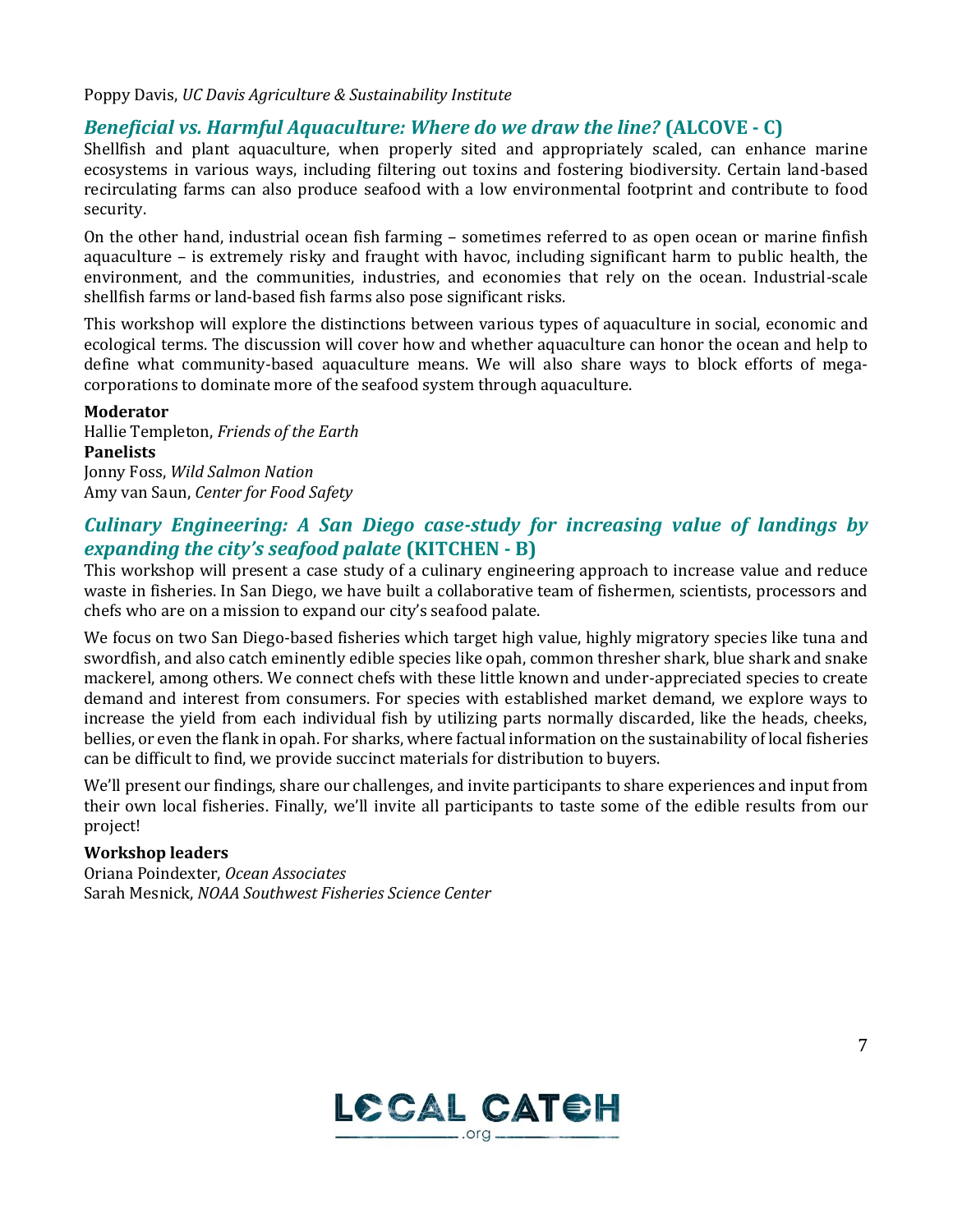#### Poppy Davis, *UC Davis Agriculture & Sustainability Institute*

### *Beneficial vs. Harmful Aquaculture: Where do we draw the line?* **(ALCOVE - C)**

Shellfish and plant aquaculture, when properly sited and appropriately scaled, can enhance marine ecosystems in various ways, including filtering out toxins and fostering biodiversity. Certain land-based recirculating farms can also produce seafood with a low environmental footprint and contribute to food security.

On the other hand, industrial ocean fish farming – sometimes referred to as open ocean or marine finfish aquaculture – is extremely risky and fraught with havoc, including significant harm to public health, the environment, and the communities, industries, and economies that rely on the ocean. Industrial-scale shellfish farms or land-based fish farms also pose significant risks.

This workshop will explore the distinctions between various types of aquaculture in social, economic and ecological terms. The discussion will cover how and whether aquaculture can honor the ocean and help to define what community-based aquaculture means. We will also share ways to block efforts of megacorporations to dominate more of the seafood system through aquaculture.

#### **Moderator**

Hallie Templeton, *Friends of the Earth*  **Panelists** Jonny Foss, *Wild Salmon Nation* Amy van Saun, *Center for Food Safety*

### *Culinary Engineering: A San Diego case-study for increasing value of landings by expanding the city's seafood palate* **(KITCHEN - B)**

This workshop will present a case study of a culinary engineering approach to increase value and reduce waste in fisheries. In San Diego, we have built a collaborative team of fishermen, scientists, processors and chefs who are on a mission to expand our city's seafood palate.

We focus on two San Diego-based fisheries which target high value, highly migratory species like tuna and swordfish, and also catch eminently edible species like opah, common thresher shark, blue shark and snake mackerel, among others. We connect chefs with these little known and under-appreciated species to create demand and interest from consumers. For species with established market demand, we explore ways to increase the yield from each individual fish by utilizing parts normally discarded, like the heads, cheeks, bellies, or even the flank in opah. For sharks, where factual information on the sustainability of local fisheries can be difficult to find, we provide succinct materials for distribution to buyers.

We'll present our findings, share our challenges, and invite participants to share experiences and input from their own local fisheries. Finally, we'll invite all participants to taste some of the edible results from our project!

#### **Workshop leaders**

Oriana Poindexter, *Ocean Associates*  Sarah Mesnick, *NOAA Southwest Fisheries Science Center*